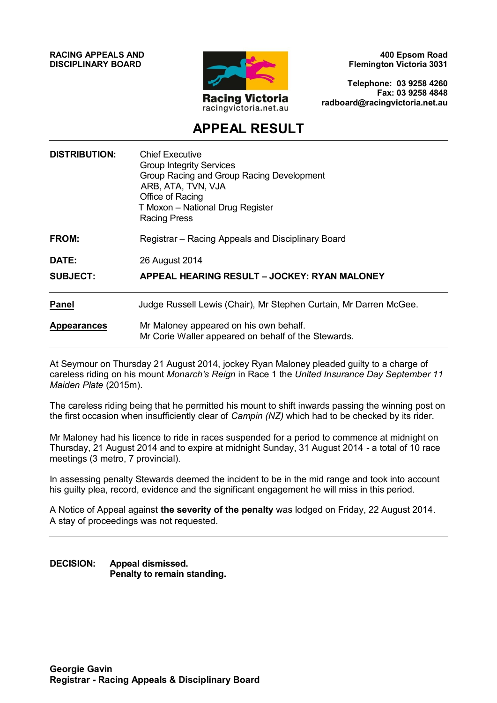**RACING APPEALS AND DISCIPLINARY BOARD**



**400 Epsom Road Flemington Victoria 3031**

**Telephone: 03 9258 4260 Fax: 03 9258 4848 radboard@racingvictoria.net.au**

# **APPEAL RESULT**

| <b>DISTRIBUTION:</b> | <b>Chief Executive</b><br><b>Group Integrity Services</b><br>Group Racing and Group Racing Development<br>ARB, ATA, TVN, VJA<br>Office of Racing<br>T Moxon - National Drug Register<br><b>Racing Press</b> |
|----------------------|-------------------------------------------------------------------------------------------------------------------------------------------------------------------------------------------------------------|
| <b>FROM:</b>         | Registrar – Racing Appeals and Disciplinary Board                                                                                                                                                           |
| <b>DATE:</b>         | 26 August 2014                                                                                                                                                                                              |
| <b>SUBJECT:</b>      | APPEAL HEARING RESULT - JOCKEY: RYAN MALONEY                                                                                                                                                                |
| <b>Panel</b>         | Judge Russell Lewis (Chair), Mr Stephen Curtain, Mr Darren McGee.                                                                                                                                           |
| <b>Appearances</b>   | Mr Maloney appeared on his own behalf.<br>Mr Corie Waller appeared on behalf of the Stewards.                                                                                                               |

At Seymour on Thursday 21 August 2014, jockey Ryan Maloney pleaded guilty to a charge of careless riding on his mount *Monarch's Reign* in Race 1 the *United Insurance Day September 11 Maiden Plate* (2015m).

The careless riding being that he permitted his mount to shift inwards passing the winning post on the first occasion when insufficiently clear of *Campin (NZ)* which had to be checked by its rider.

Mr Maloney had his licence to ride in races suspended for a period to commence at midnight on Thursday, 21 August 2014 and to expire at midnight Sunday, 31 August 2014 - a total of 10 race meetings (3 metro, 7 provincial).

In assessing penalty Stewards deemed the incident to be in the mid range and took into account his guilty plea, record, evidence and the significant engagement he will miss in this period.

A Notice of Appeal against **the severity of the penalty** was lodged on Friday, 22 August 2014. A stay of proceedings was not requested.

**DECISION: Appeal dismissed. Penalty to remain standing.**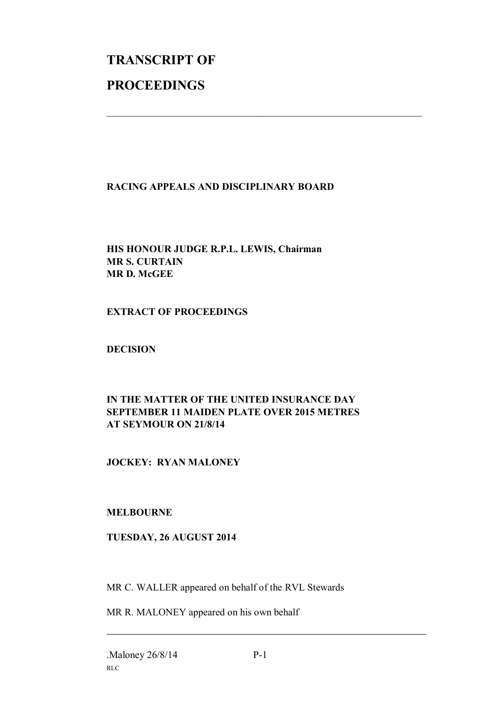# **TRANSCRIPT OF PROCEEDINGS**

#### **RACING APPEALS AND DISCIPLINARY BOARD**

 $\mathcal{L}_\text{max}$  , and the contribution of the contribution of the contribution of the contribution of the contribution of the contribution of the contribution of the contribution of the contribution of the contribution of t

## **HIS HONOUR JUDGE R.P.L. LEWIS, Chairman MR S. CURTAIN MR D. McGEE**

#### **EXTRACT OF PROCEEDINGS**

**DECISION**

## **IN THE MATTER OF THE UNITED INSURANCE DAY SEPTEMBER 11 MAIDEN PLATE OVER 2015 METRES AT SEYMOUR ON 21/8/14**

# **JOCKEY: RYAN MALONEY**

#### **MELBOURNE**

#### **TUESDAY, 26 AUGUST 2014**

MR C. WALLER appeared on behalf of the RVL Stewards

MR R. MALONEY appeared on his own behalf